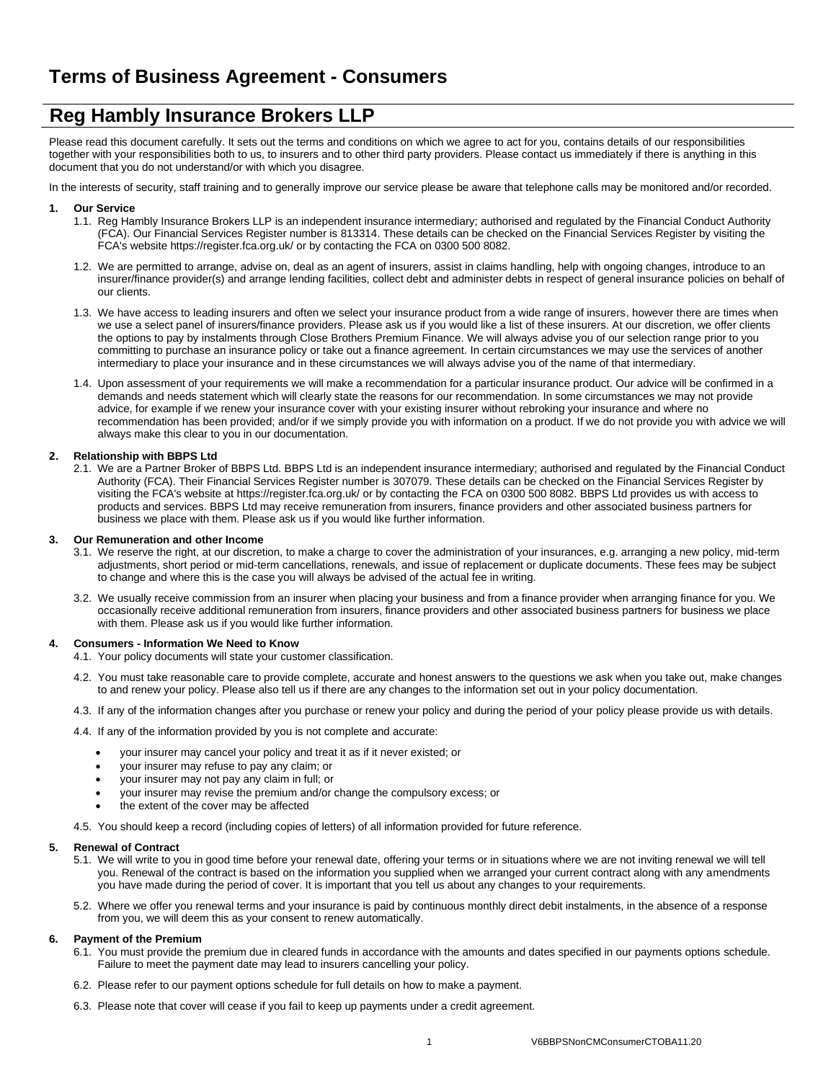# **Reg Hambly Insurance Brokers LLP**

Please read this document carefully. It sets out the terms and conditions on which we agree to act for you, contains details of our responsibilities together with your responsibilities both to us, to insurers and to other third party providers. Please contact us immediately if there is anything in this document that you do not understand/or with which you disagree.

In the interests of security, staff training and to generally improve our service please be aware that telephone calls may be monitored and/or recorded.

## **1. Our Service**

- 1.1. Reg Hambly Insurance Brokers LLP is an independent insurance intermediary; authorised and regulated by the Financial Conduct Authority (FCA). Our Financial Services Register number is 813314. These details can be checked on the Financial Services Register by visiting the FCA's website https://register.fca.org.uk/ or by contacting the FCA on 0300 500 8082.
- 1.2. We are permitted to arrange, advise on, deal as an agent of insurers, assist in claims handling, help with ongoing changes, introduce to an insurer/finance provider(s) and arrange lending facilities, collect debt and administer debts in respect of general insurance policies on behalf of our clients.
- 1.3. We have access to leading insurers and often we select your insurance product from a wide range of insurers, however there are times when we use a select panel of insurers/finance providers. Please ask us if you would like a list of these insurers. At our discretion, we offer clients the options to pay by instalments through Close Brothers Premium Finance. We will always advise you of our selection range prior to you committing to purchase an insurance policy or take out a finance agreement. In certain circumstances we may use the services of another intermediary to place your insurance and in these circumstances we will always advise you of the name of that intermediary.
- 1.4. Upon assessment of your requirements we will make a recommendation for a particular insurance product. Our advice will be confirmed in a demands and needs statement which will clearly state the reasons for our recommendation. In some circumstances we may not provide advice, for example if we renew your insurance cover with your existing insurer without rebroking your insurance and where no recommendation has been provided; and/or if we simply provide you with information on a product. If we do not provide you with advice we will always make this clear to you in our documentation.

## **2. Relationship with BBPS Ltd**

2.1. We are a Partner Broker of BBPS Ltd. BBPS Ltd is an independent insurance intermediary; authorised and regulated by the Financial Conduct Authority (FCA). Their Financial Services Register number is 307079. These details can be checked on the Financial Services Register by visiting the FCA's website at https://register.fca.org.uk/ or by contacting the FCA on 0300 500 8082. BBPS Ltd provides us with access to products and services. BBPS Ltd may receive remuneration from insurers, finance providers and other associated business partners for business we place with them. Please ask us if you would like further information.

#### **3. Our Remuneration and other Income**

- 3.1. We reserve the right, at our discretion, to make a charge to cover the administration of your insurances, e.g. arranging a new policy, mid-term adjustments, short period or mid-term cancellations, renewals, and issue of replacement or duplicate documents. These fees may be subject to change and where this is the case you will always be advised of the actual fee in writing.
- 3.2. We usually receive commission from an insurer when placing your business and from a finance provider when arranging finance for you. We occasionally receive additional remuneration from insurers, finance providers and other associated business partners for business we place with them. Please ask us if you would like further information.

#### **4. Consumers - Information We Need to Know**

- 4.1. Your policy documents will state your customer classification.
- 4.2. You must take reasonable care to provide complete, accurate and honest answers to the questions we ask when you take out, make changes to and renew your policy. Please also tell us if there are any changes to the information set out in your policy documentation.
- 4.3. If any of the information changes after you purchase or renew your policy and during the period of your policy please provide us with details.
- 4.4. If any of the information provided by you is not complete and accurate:
	- your insurer may cancel your policy and treat it as if it never existed; or
	- your insurer may refuse to pay any claim; or
	- your insurer may not pay any claim in full; or
	- your insurer may revise the premium and/or change the compulsory excess; or
	- the extent of the cover may be affected
- 4.5. You should keep a record (including copies of letters) of all information provided for future reference.

#### **5. Renewal of Contract**

- 5.1. We will write to you in good time before your renewal date, offering your terms or in situations where we are not inviting renewal we will tell you. Renewal of the contract is based on the information you supplied when we arranged your current contract along with any amendments you have made during the period of cover. It is important that you tell us about any changes to your requirements.
- 5.2. Where we offer you renewal terms and your insurance is paid by continuous monthly direct debit instalments, in the absence of a response from you, we will deem this as your consent to renew automatically.

# **6. Payment of the Premium**

- 6.1. You must provide the premium due in cleared funds in accordance with the amounts and dates specified in our payments options schedule. Failure to meet the payment date may lead to insurers cancelling your policy.
- 6.2. Please refer to our payment options schedule for full details on how to make a payment.
- 6.3. Please note that cover will cease if you fail to keep up payments under a credit agreement.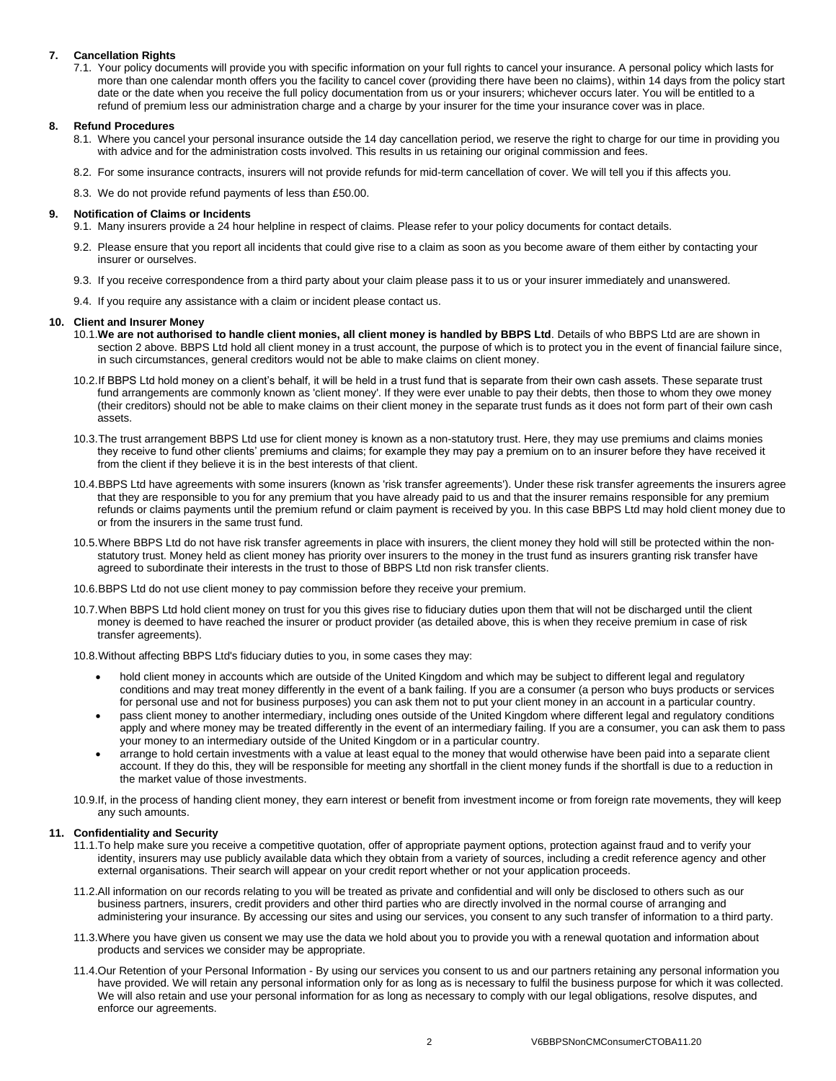# **7. Cancellation Rights**

7.1. Your policy documents will provide you with specific information on your full rights to cancel your insurance. A personal policy which lasts for more than one calendar month offers you the facility to cancel cover (providing there have been no claims), within 14 days from the policy start date or the date when you receive the full policy documentation from us or your insurers; whichever occurs later. You will be entitled to a refund of premium less our administration charge and a charge by your insurer for the time your insurance cover was in place.

# **8. Refund Procedures**

- 8.1. Where you cancel your personal insurance outside the 14 day cancellation period, we reserve the right to charge for our time in providing you with advice and for the administration costs involved. This results in us retaining our original commission and fees.
- 8.2. For some insurance contracts, insurers will not provide refunds for mid-term cancellation of cover. We will tell you if this affects you.
- 8.3. We do not provide refund payments of less than £50.00.

#### **9. Notification of Claims or Incidents**

- 9.1. Many insurers provide a 24 hour helpline in respect of claims. Please refer to your policy documents for contact details.
- 9.2. Please ensure that you report all incidents that could give rise to a claim as soon as you become aware of them either by contacting your insurer or ourselves.
- 9.3. If you receive correspondence from a third party about your claim please pass it to us or your insurer immediately and unanswered.
- 9.4. If you require any assistance with a claim or incident please contact us.

#### **10. Client and Insurer Money**

- 10.1.**We are not authorised to handle client monies, all client money is handled by BBPS Ltd**. Details of who BBPS Ltd are are shown in section 2 above. BBPS Ltd hold all client money in a trust account, the purpose of which is to protect you in the event of financial failure since, in such circumstances, general creditors would not be able to make claims on client money.
- 10.2.If BBPS Ltd hold money on a client's behalf, it will be held in a trust fund that is separate from their own cash assets. These separate trust fund arrangements are commonly known as 'client money'. If they were ever unable to pay their debts, then those to whom they owe money (their creditors) should not be able to make claims on their client money in the separate trust funds as it does not form part of their own cash assets.
- 10.3.The trust arrangement BBPS Ltd use for client money is known as a non-statutory trust. Here, they may use premiums and claims monies they receive to fund other clients' premiums and claims; for example they may pay a premium on to an insurer before they have received it from the client if they believe it is in the best interests of that client.
- 10.4.BBPS Ltd have agreements with some insurers (known as 'risk transfer agreements'). Under these risk transfer agreements the insurers agree that they are responsible to you for any premium that you have already paid to us and that the insurer remains responsible for any premium refunds or claims payments until the premium refund or claim payment is received by you. In this case BBPS Ltd may hold client money due to or from the insurers in the same trust fund.
- 10.5.Where BBPS Ltd do not have risk transfer agreements in place with insurers, the client money they hold will still be protected within the nonstatutory trust. Money held as client money has priority over insurers to the money in the trust fund as insurers granting risk transfer have agreed to subordinate their interests in the trust to those of BBPS Ltd non risk transfer clients.
- 10.6.BBPS Ltd do not use client money to pay commission before they receive your premium.
- 10.7.When BBPS Ltd hold client money on trust for you this gives rise to fiduciary duties upon them that will not be discharged until the client money is deemed to have reached the insurer or product provider (as detailed above, this is when they receive premium in case of risk transfer agreements).
- 10.8.Without affecting BBPS Ltd's fiduciary duties to you, in some cases they may:
	- hold client money in accounts which are outside of the United Kingdom and which may be subject to different legal and regulatory conditions and may treat money differently in the event of a bank failing. If you are a consumer (a person who buys products or services for personal use and not for business purposes) you can ask them not to put your client money in an account in a particular country.
	- pass client money to another intermediary, including ones outside of the United Kingdom where different legal and regulatory conditions apply and where money may be treated differently in the event of an intermediary failing. If you are a consumer, you can ask them to pass your money to an intermediary outside of the United Kingdom or in a particular country.
	- arrange to hold certain investments with a value at least equal to the money that would otherwise have been paid into a separate client account. If they do this, they will be responsible for meeting any shortfall in the client money funds if the shortfall is due to a reduction in the market value of those investments.

10.9.If, in the process of handing client money, they earn interest or benefit from investment income or from foreign rate movements, they will keep any such amounts.

#### **11. Confidentiality and Security**

- 11.1.To help make sure you receive a competitive quotation, offer of appropriate payment options, protection against fraud and to verify your identity, insurers may use publicly available data which they obtain from a variety of sources, including a credit reference agency and other external organisations. Their search will appear on your credit report whether or not your application proceeds.
- 11.2.All information on our records relating to you will be treated as private and confidential and will only be disclosed to others such as our business partners, insurers, credit providers and other third parties who are directly involved in the normal course of arranging and administering your insurance. By accessing our sites and using our services, you consent to any such transfer of information to a third party.
- 11.3.Where you have given us consent we may use the data we hold about you to provide you with a renewal quotation and information about products and services we consider may be appropriate.
- 11.4.Our Retention of your Personal Information By using our services you consent to us and our partners retaining any personal information you have provided. We will retain any personal information only for as long as is necessary to fulfil the business purpose for which it was collected. We will also retain and use your personal information for as long as necessary to comply with our legal obligations, resolve disputes, and enforce our agreements.